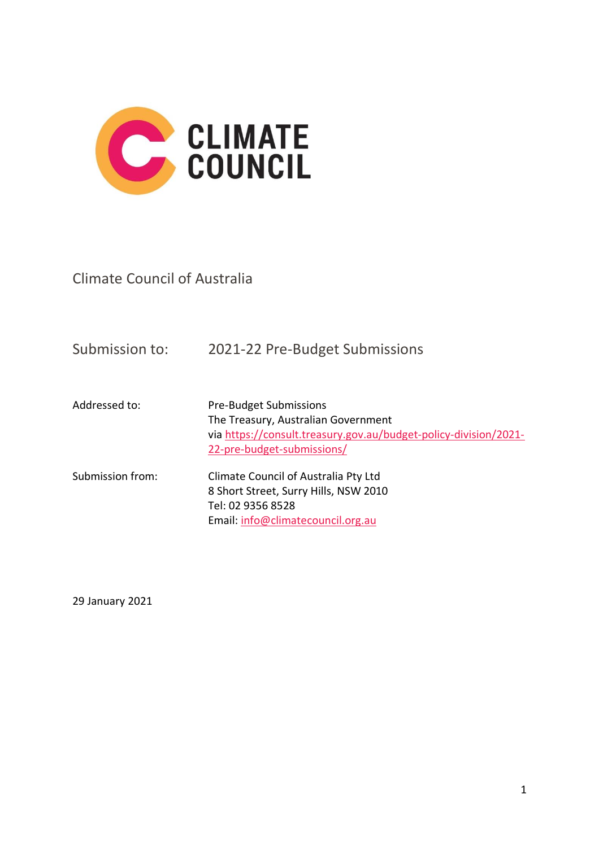

Climate Council of Australia

| Submission to:   | 2021-22 Pre-Budget Submissions                                                                                                                                         |
|------------------|------------------------------------------------------------------------------------------------------------------------------------------------------------------------|
| Addressed to:    | <b>Pre-Budget Submissions</b><br>The Treasury, Australian Government<br>via https://consult.treasury.gov.au/budget-policy-division/2021-<br>22-pre-budget-submissions/ |
| Submission from: | Climate Council of Australia Pty Ltd<br>8 Short Street, Surry Hills, NSW 2010<br>Tel: 02 9356 8528<br>Email: info@climatecouncil.org.au                                |

29 January 2021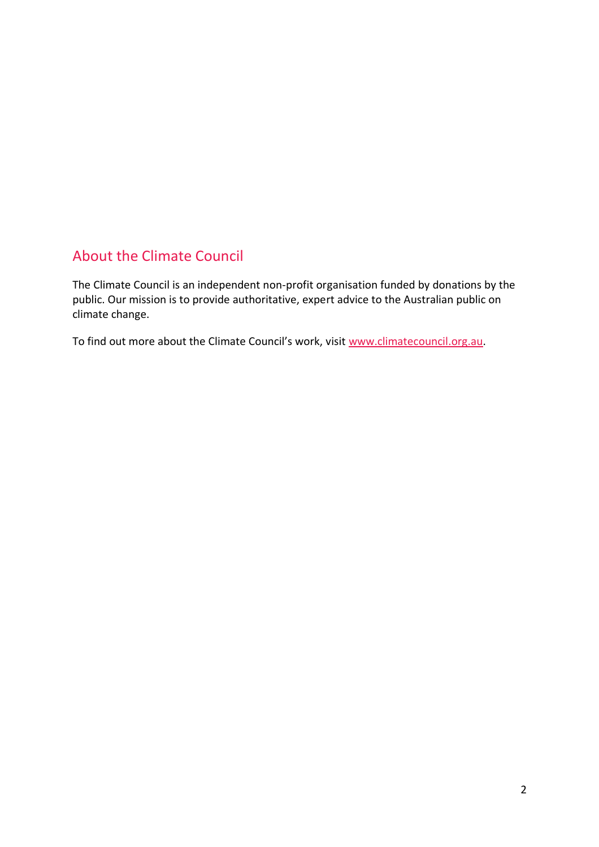# About the Climate Council

The Climate Council is an independent non-profit organisation funded by donations by the public. Our mission is to provide authoritative, expert advice to the Australian public on climate change.

To find out more about the Climate Council's work, visit [www.climatecouncil.org.au.](http://www.climatecouncil.org.au/)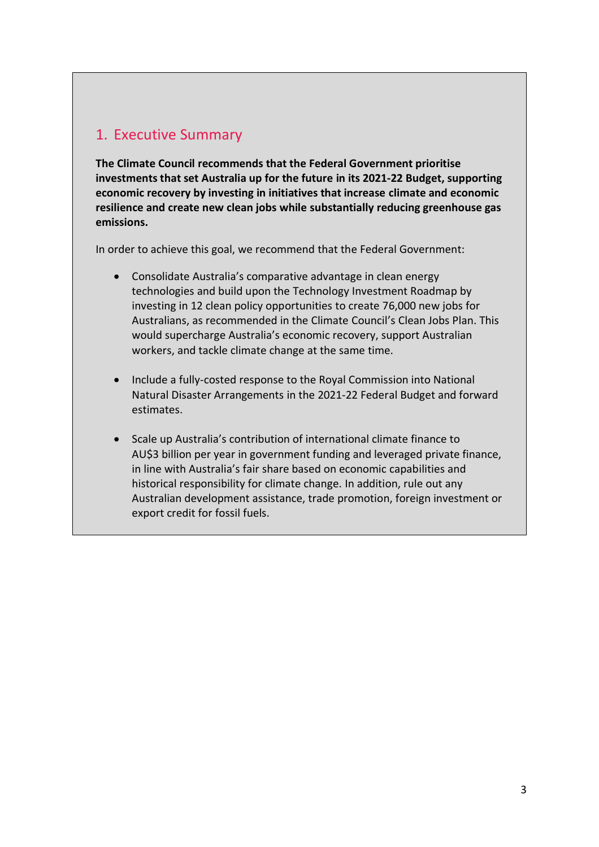## 1. Executive Summary

**The Climate Council recommends that the Federal Government prioritise investments that set Australia up for the future in its 2021-22 Budget, supporting economic recovery by investing in initiatives that increase climate and economic resilience and create new clean jobs while substantially reducing greenhouse gas emissions.**

In order to achieve this goal, we recommend that the Federal Government:

- Consolidate Australia's comparative advantage in clean energy technologies and build upon the Technology Investment Roadmap by investing in 12 clean policy opportunities to create 76,000 new jobs for Australians, as recommended in the Climate Council's Clean Jobs Plan. This would supercharge Australia's economic recovery, support Australian workers, and tackle climate change at the same time.
- Include a fully-costed response to the Royal Commission into National Natural Disaster Arrangements in the 2021-22 Federal Budget and forward estimates.
- Scale up Australia's contribution of international climate finance to AU\$3 billion per year in government funding and leveraged private finance, in line with Australia's fair share based on economic capabilities and historical responsibility for climate change. In addition, rule out any Australian development assistance, trade promotion, foreign investment or export credit for fossil fuels.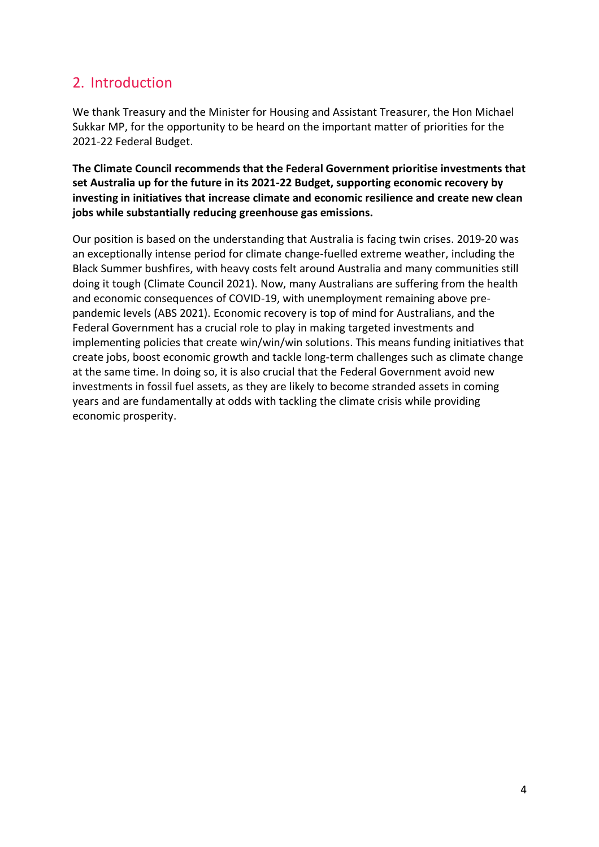## 2. Introduction

We thank Treasury and the Minister for Housing and Assistant Treasurer, the Hon Michael Sukkar MP, for the opportunity to be heard on the important matter of priorities for the 2021-22 Federal Budget.

**The Climate Council recommends that the Federal Government prioritise investments that set Australia up for the future in its 2021-22 Budget, supporting economic recovery by investing in initiatives that increase climate and economic resilience and create new clean jobs while substantially reducing greenhouse gas emissions.**

Our position is based on the understanding that Australia is facing twin crises. 2019-20 was an exceptionally intense period for climate change-fuelled extreme weather, including the Black Summer bushfires, with heavy costs felt around Australia and many communities still doing it tough (Climate Council 2021). Now, many Australians are suffering from the health and economic consequences of COVID-19, with unemployment remaining above prepandemic levels (ABS 2021). Economic recovery is top of mind for Australians, and the Federal Government has a crucial role to play in making targeted investments and implementing policies that create win/win/win solutions. This means funding initiatives that create jobs, boost economic growth and tackle long-term challenges such as climate change at the same time. In doing so, it is also crucial that the Federal Government avoid new investments in fossil fuel assets, as they are likely to become stranded assets in coming years and are fundamentally at odds with tackling the climate crisis while providing economic prosperity.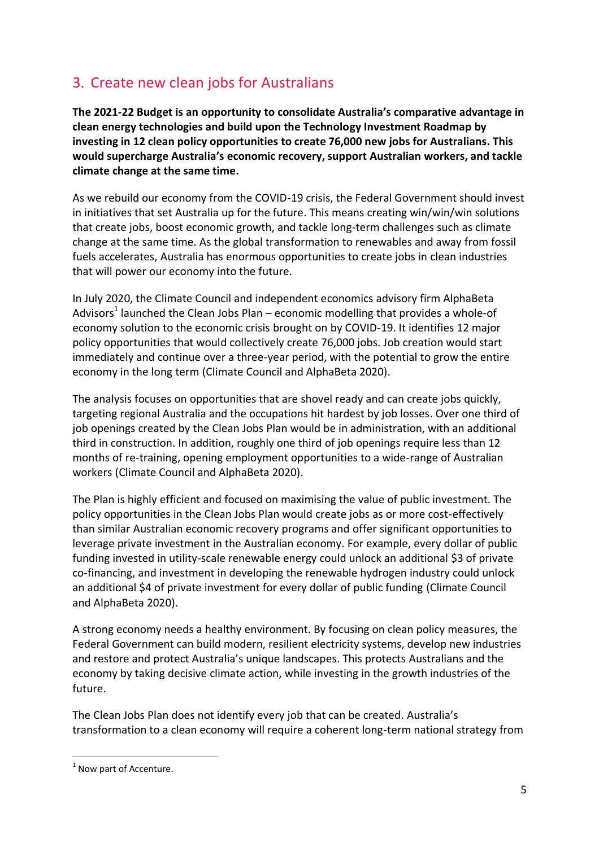# 3. Create new clean jobs for Australians

**The 2021-22 Budget is an opportunity to consolidate Australia's comparative advantage in clean energy technologies and build upon the Technology Investment Roadmap by investing in 12 clean policy opportunities to create 76,000 new jobs for Australians. This would supercharge Australia's economic recovery, support Australian workers, and tackle climate change at the same time.**

As we rebuild our economy from the COVID-19 crisis, the Federal Government should invest in initiatives that set Australia up for the future. This means creating win/win/win solutions that create jobs, boost economic growth, and tackle long-term challenges such as climate change at the same time. As the global transformation to renewables and away from fossil fuels accelerates, Australia has enormous opportunities to create jobs in clean industries that will power our economy into the future.

In July 2020, the Climate Council and independent economics advisory firm AlphaBeta Advisors<sup>1</sup> launched the Clean Jobs Plan – economic modelling that provides a whole-of economy solution to the economic crisis brought on by COVID-19. It identifies 12 major policy opportunities that would collectively create 76,000 jobs. Job creation would start immediately and continue over a three-year period, with the potential to grow the entire economy in the long term (Climate Council and AlphaBeta 2020).

The analysis focuses on opportunities that are shovel ready and can create jobs quickly, targeting regional Australia and the occupations hit hardest by job losses. Over one third of job openings created by the Clean Jobs Plan would be in administration, with an additional third in construction. In addition, roughly one third of job openings require less than 12 months of re-training, opening employment opportunities to a wide-range of Australian workers (Climate Council and AlphaBeta 2020).

The Plan is highly efficient and focused on maximising the value of public investment. The policy opportunities in the Clean Jobs Plan would create jobs as or more cost-effectively than similar Australian economic recovery programs and offer significant opportunities to leverage private investment in the Australian economy. For example, every dollar of public funding invested in utility-scale renewable energy could unlock an additional \$3 of private co-financing, and investment in developing the renewable hydrogen industry could unlock an additional \$4 of private investment for every dollar of public funding (Climate Council and AlphaBeta 2020).

A strong economy needs a healthy environment. By focusing on clean policy measures, the Federal Government can build modern, resilient electricity systems, develop new industries and restore and protect Australia's unique landscapes. This protects Australians and the economy by taking decisive climate action, while investing in the growth industries of the future.

The Clean Jobs Plan does not identify every job that can be created. Australia's transformation to a clean economy will require a coherent long-term national strategy from

 $1$  Now part of Accenture.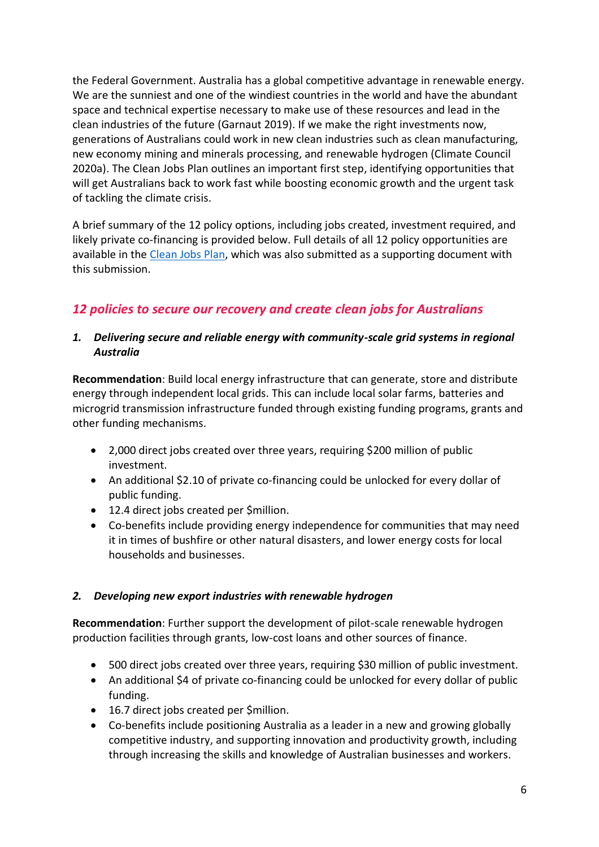the Federal Government. Australia has a global competitive advantage in renewable energy. We are the sunniest and one of the windiest countries in the world and have the abundant space and technical expertise necessary to make use of these resources and lead in the clean industries of the future (Garnaut 2019). If we make the right investments now, generations of Australians could work in new clean industries such as clean manufacturing, new economy mining and minerals processing, and renewable hydrogen (Climate Council 2020a). The Clean Jobs Plan outlines an important first step, identifying opportunities that will get Australians back to work fast while boosting economic growth and the urgent task of tackling the climate crisis.

A brief summary of the 12 policy options, including jobs created, investment required, and likely private co-financing is provided below. Full details of all 12 policy opportunities are available in the [Clean Jobs Plan,](https://www.climatecouncil.org.au/resources/clean-jobs-plan/) which was also submitted as a supporting document with this submission.

### *12 policies to secure our recovery and create clean jobs for Australians*

#### *1. Delivering secure and reliable energy with community-scale grid systems in regional Australia*

**Recommendation**: Build local energy infrastructure that can generate, store and distribute energy through independent local grids. This can include local solar farms, batteries and microgrid transmission infrastructure funded through existing funding programs, grants and other funding mechanisms.

- 2,000 direct jobs created over three years, requiring \$200 million of public investment.
- An additional \$2.10 of private co-financing could be unlocked for every dollar of public funding.
- 12.4 direct jobs created per \$million.
- Co-benefits include providing energy independence for communities that may need it in times of bushfire or other natural disasters, and lower energy costs for local households and businesses.

#### *2. Developing new export industries with renewable hydrogen*

**Recommendation**: Further support the development of pilot-scale renewable hydrogen production facilities through grants, low-cost loans and other sources of finance.

- 500 direct jobs created over three years, requiring \$30 million of public investment.
- An additional \$4 of private co-financing could be unlocked for every dollar of public funding.
- 16.7 direct jobs created per \$million.
- Co-benefits include positioning Australia as a leader in a new and growing globally competitive industry, and supporting innovation and productivity growth, including through increasing the skills and knowledge of Australian businesses and workers.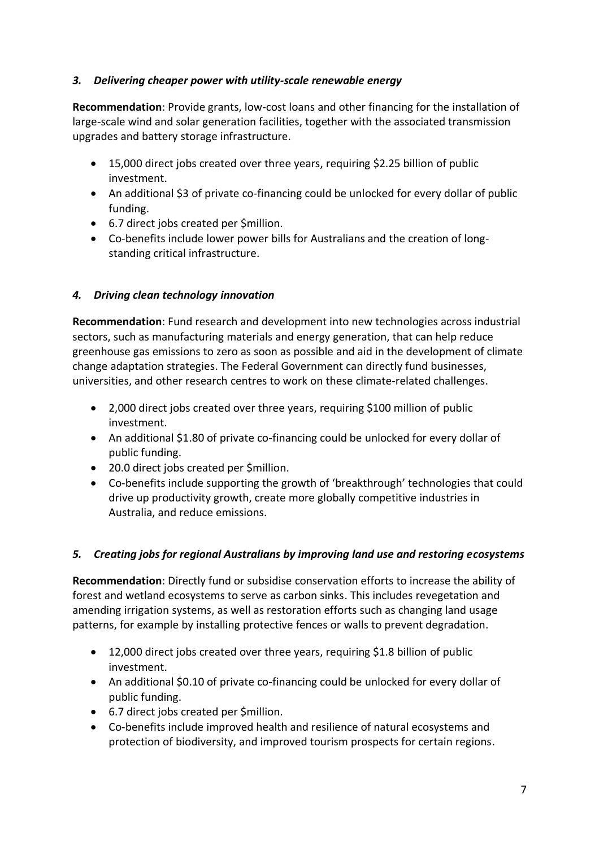#### *3. Delivering cheaper power with utility-scale renewable energy*

**Recommendation**: Provide grants, low-cost loans and other financing for the installation of large-scale wind and solar generation facilities, together with the associated transmission upgrades and battery storage infrastructure.

- 15,000 direct jobs created over three years, requiring \$2.25 billion of public investment.
- An additional \$3 of private co-financing could be unlocked for every dollar of public funding.
- 6.7 direct jobs created per \$million.
- Co-benefits include lower power bills for Australians and the creation of longstanding critical infrastructure.

### *4. Driving clean technology innovation*

**Recommendation**: Fund research and development into new technologies across industrial sectors, such as manufacturing materials and energy generation, that can help reduce greenhouse gas emissions to zero as soon as possible and aid in the development of climate change adaptation strategies. The Federal Government can directly fund businesses, universities, and other research centres to work on these climate-related challenges.

- 2,000 direct jobs created over three years, requiring \$100 million of public investment.
- An additional \$1.80 of private co-financing could be unlocked for every dollar of public funding.
- 20.0 direct jobs created per \$million.
- Co-benefits include supporting the growth of 'breakthrough' technologies that could drive up productivity growth, create more globally competitive industries in Australia, and reduce emissions.

### *5. Creating jobs for regional Australians by improving land use and restoring ecosystems*

**Recommendation**: Directly fund or subsidise conservation efforts to increase the ability of forest and wetland ecosystems to serve as carbon sinks. This includes revegetation and amending irrigation systems, as well as restoration efforts such as changing land usage patterns, for example by installing protective fences or walls to prevent degradation.

- 12,000 direct jobs created over three years, requiring \$1.8 billion of public investment.
- An additional \$0.10 of private co-financing could be unlocked for every dollar of public funding.
- 6.7 direct jobs created per \$million.
- Co-benefits include improved health and resilience of natural ecosystems and protection of biodiversity, and improved tourism prospects for certain regions.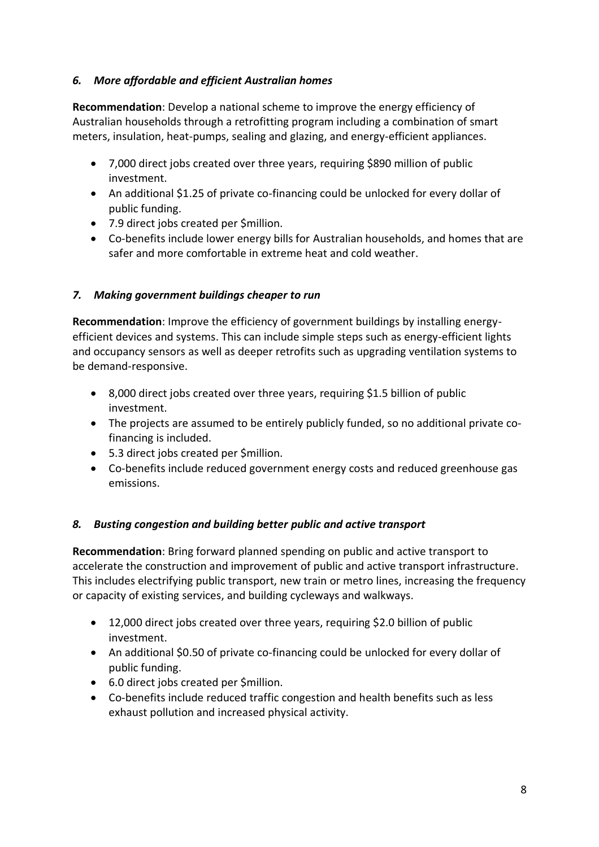#### *6. More affordable and efficient Australian homes*

**Recommendation**: Develop a national scheme to improve the energy efficiency of Australian households through a retrofitting program including a combination of smart meters, insulation, heat-pumps, sealing and glazing, and energy-efficient appliances.

- 7,000 direct jobs created over three years, requiring \$890 million of public investment.
- An additional \$1.25 of private co-financing could be unlocked for every dollar of public funding.
- 7.9 direct jobs created per \$million.
- Co-benefits include lower energy bills for Australian households, and homes that are safer and more comfortable in extreme heat and cold weather.

#### *7. Making government buildings cheaper to run*

**Recommendation**: Improve the efficiency of government buildings by installing energyefficient devices and systems. This can include simple steps such as energy-efficient lights and occupancy sensors as well as deeper retrofits such as upgrading ventilation systems to be demand-responsive.

- 8,000 direct jobs created over three years, requiring \$1.5 billion of public investment.
- The projects are assumed to be entirely publicly funded, so no additional private cofinancing is included.
- 5.3 direct jobs created per \$million.
- Co-benefits include reduced government energy costs and reduced greenhouse gas emissions.

#### *8. Busting congestion and building better public and active transport*

**Recommendation**: Bring forward planned spending on public and active transport to accelerate the construction and improvement of public and active transport infrastructure. This includes electrifying public transport, new train or metro lines, increasing the frequency or capacity of existing services, and building cycleways and walkways.

- 12,000 direct jobs created over three years, requiring \$2.0 billion of public investment.
- An additional \$0.50 of private co-financing could be unlocked for every dollar of public funding.
- 6.0 direct jobs created per \$million.
- Co-benefits include reduced traffic congestion and health benefits such as less exhaust pollution and increased physical activity.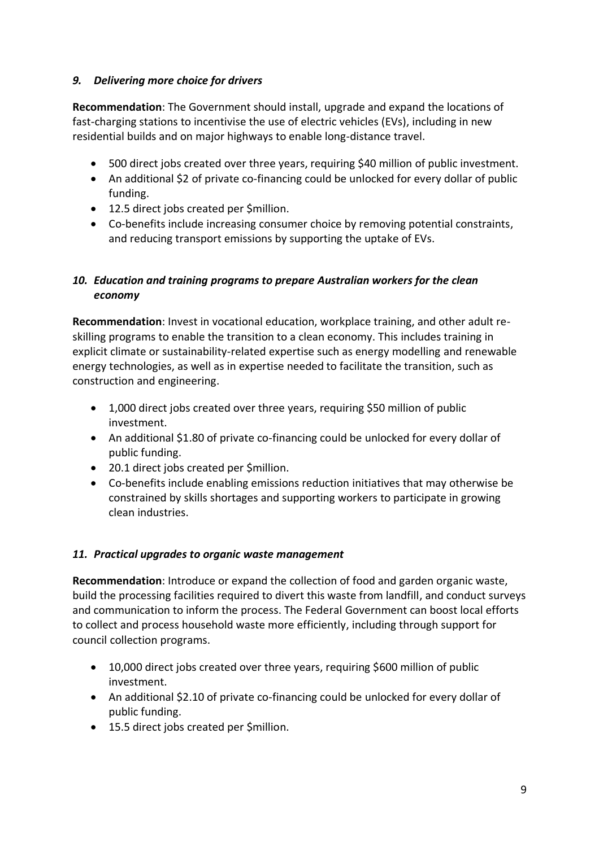#### *9. Delivering more choice for drivers*

**Recommendation**: The Government should install, upgrade and expand the locations of fast-charging stations to incentivise the use of electric vehicles (EVs), including in new residential builds and on major highways to enable long-distance travel.

- 500 direct jobs created over three years, requiring \$40 million of public investment.
- An additional \$2 of private co-financing could be unlocked for every dollar of public funding.
- 12.5 direct jobs created per \$million.
- Co-benefits include increasing consumer choice by removing potential constraints, and reducing transport emissions by supporting the uptake of EVs.

#### *10. Education and training programs to prepare Australian workers for the clean economy*

**Recommendation**: Invest in vocational education, workplace training, and other adult reskilling programs to enable the transition to a clean economy. This includes training in explicit climate or sustainability-related expertise such as energy modelling and renewable energy technologies, as well as in expertise needed to facilitate the transition, such as construction and engineering.

- 1,000 direct jobs created over three years, requiring \$50 million of public investment.
- An additional \$1.80 of private co-financing could be unlocked for every dollar of public funding.
- 20.1 direct jobs created per \$million.
- Co-benefits include enabling emissions reduction initiatives that may otherwise be constrained by skills shortages and supporting workers to participate in growing clean industries.

#### *11. Practical upgrades to organic waste management*

**Recommendation**: Introduce or expand the collection of food and garden organic waste, build the processing facilities required to divert this waste from landfill, and conduct surveys and communication to inform the process. The Federal Government can boost local efforts to collect and process household waste more efficiently, including through support for council collection programs.

- 10,000 direct jobs created over three years, requiring \$600 million of public investment.
- An additional \$2.10 of private co-financing could be unlocked for every dollar of public funding.
- 15.5 direct jobs created per \$million.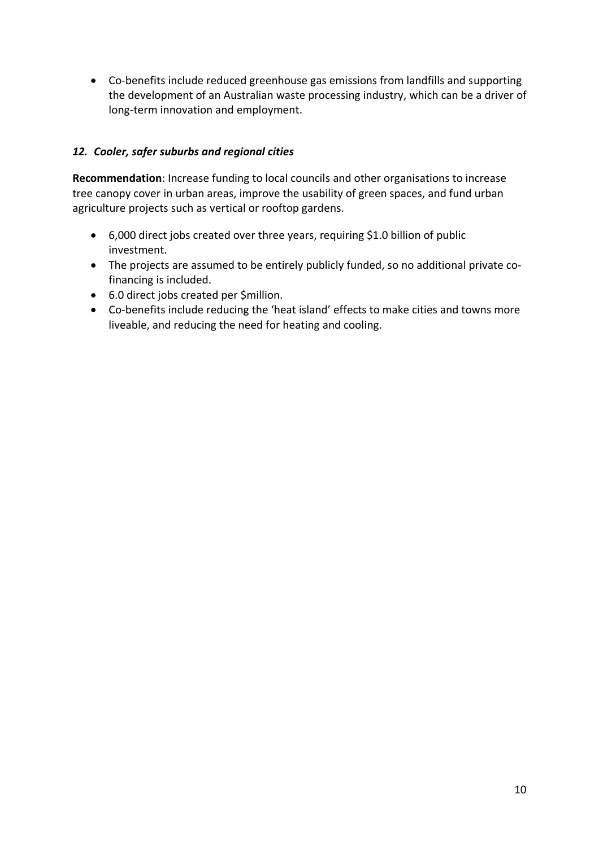• Co-benefits include reduced greenhouse gas emissions from landfills and supporting the development of an Australian waste processing industry, which can be a driver of long-term innovation and employment.

#### *12. Cooler, safer suburbs and regional cities*

**Recommendation**: Increase funding to local councils and other organisations to increase tree canopy cover in urban areas, improve the usability of green spaces, and fund urban agriculture projects such as vertical or rooftop gardens.

- 6,000 direct jobs created over three years, requiring \$1.0 billion of public investment.
- The projects are assumed to be entirely publicly funded, so no additional private cofinancing is included.
- 6.0 direct jobs created per \$million.
- Co-benefits include reducing the 'heat island' effects to make cities and towns more liveable, and reducing the need for heating and cooling.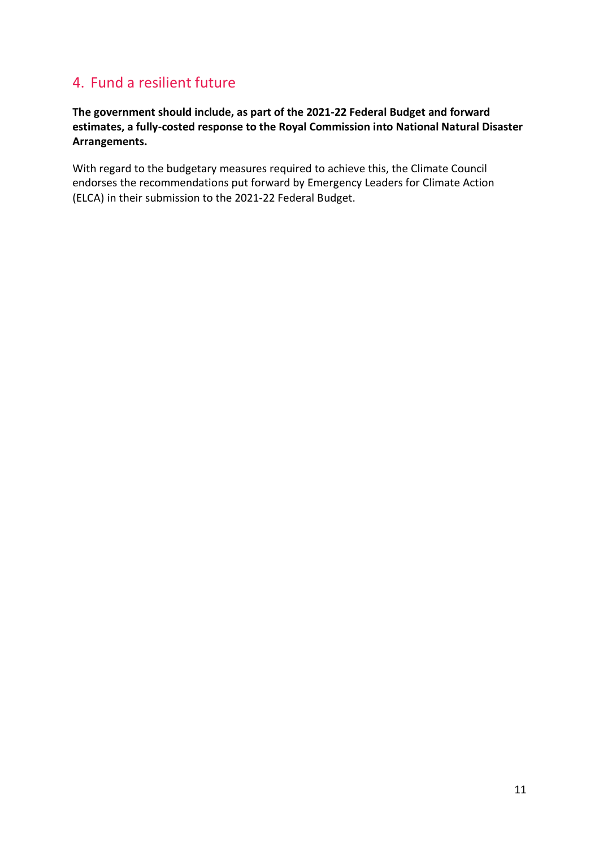## 4. Fund a resilient future

**The government should include, as part of the 2021-22 Federal Budget and forward estimates, a fully-costed response to the Royal Commission into National Natural Disaster Arrangements.**

With regard to the budgetary measures required to achieve this, the Climate Council endorses the recommendations put forward by Emergency Leaders for Climate Action (ELCA) in their submission to the 2021-22 Federal Budget.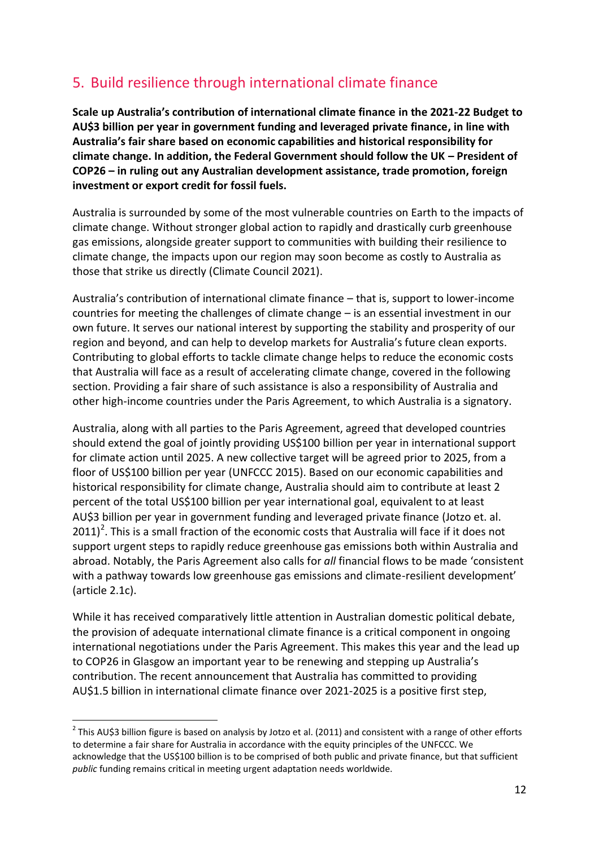# 5. Build resilience through international climate finance

**Scale up Australia's contribution of international climate finance in the 2021-22 Budget to AU\$3 billion per year in government funding and leveraged private finance, in line with Australia's fair share based on economic capabilities and historical responsibility for climate change. In addition, the Federal Government should follow the UK – President of COP26 – in ruling out any Australian development assistance, trade promotion, foreign investment or export credit for fossil fuels.**

Australia is surrounded by some of the most vulnerable countries on Earth to the impacts of climate change. Without stronger global action to rapidly and drastically curb greenhouse gas emissions, alongside greater support to communities with building their resilience to climate change, the impacts upon our region may soon become as costly to Australia as those that strike us directly (Climate Council 2021).

Australia's contribution of international climate finance – that is, support to lower-income countries for meeting the challenges of climate change – is an essential investment in our own future. It serves our national interest by supporting the stability and prosperity of our region and beyond, and can help to develop markets for Australia's future clean exports. Contributing to global efforts to tackle climate change helps to reduce the economic costs that Australia will face as a result of accelerating climate change, covered in the following section. Providing a fair share of such assistance is also a responsibility of Australia and other high-income countries under the Paris Agreement, to which Australia is a signatory.

Australia, along with all parties to the Paris Agreement, agreed that developed countries should extend the goal of jointly providing US\$100 billion per year in international support for climate action until 2025. A new collective target will be agreed prior to 2025, from a floor of US\$100 billion per year (UNFCCC 2015). Based on our economic capabilities and historical responsibility for climate change, Australia should aim to contribute at least 2 percent of the total US\$100 billion per year international goal, equivalent to at least AU\$3 billion per year in government funding and leveraged private finance (Jotzo et. al. 2011)<sup>2</sup>. This is a small fraction of the economic costs that Australia will face if it does not support urgent steps to rapidly reduce greenhouse gas emissions both within Australia and abroad. Notably, the Paris Agreement also calls for *all* financial flows to be made 'consistent with a pathway towards low greenhouse gas emissions and climate-resilient development' (article 2.1c).

While it has received comparatively little attention in Australian domestic political debate, the provision of adequate international climate finance is a critical component in ongoing international negotiations under the Paris Agreement. This makes this year and the lead up to COP26 in Glasgow an important year to be renewing and stepping up Australia's contribution. The recent announcement that Australia has committed to providing AU\$1.5 billion in international climate finance over 2021-2025 is a positive first step,

 $^2$  This AU\$3 billion figure is based on analysis by Jotzo et al. (2011) and consistent with a range of other efforts to determine a fair share for Australia in accordance with the equity principles of the UNFCCC. We acknowledge that the US\$100 billion is to be comprised of both public and private finance, but that sufficient *public* funding remains critical in meeting urgent adaptation needs worldwide.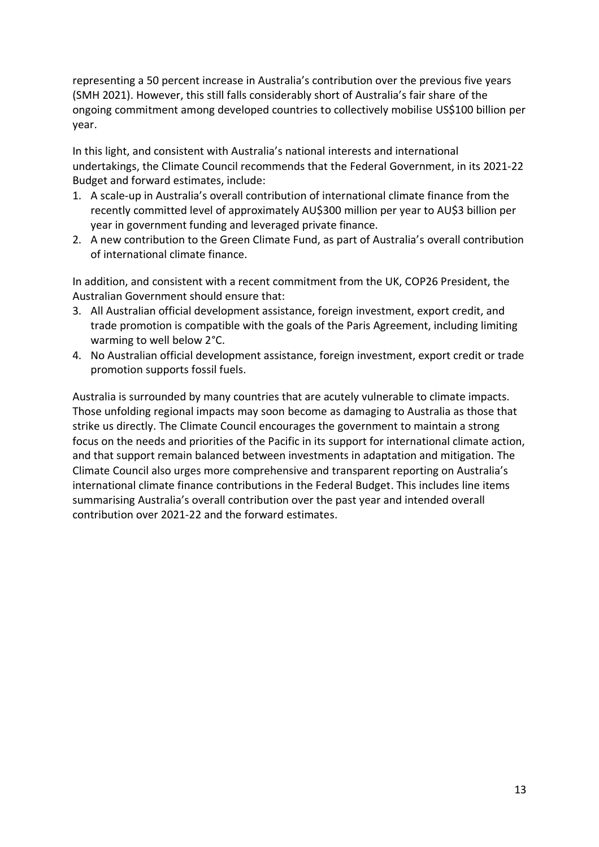representing a 50 percent increase in Australia's contribution over the previous five years (SMH 2021). However, this still falls considerably short of Australia's fair share of the ongoing commitment among developed countries to collectively mobilise US\$100 billion per year.

In this light, and consistent with Australia's national interests and international undertakings, the Climate Council recommends that the Federal Government, in its 2021-22 Budget and forward estimates, include:

- 1. A scale-up in Australia's overall contribution of international climate finance from the recently committed level of approximately AU\$300 million per year to AU\$3 billion per year in government funding and leveraged private finance.
- 2. A new contribution to the Green Climate Fund, as part of Australia's overall contribution of international climate finance.

In addition, and consistent with a recent commitment from the UK, COP26 President, the Australian Government should ensure that:

- 3. All Australian official development assistance, foreign investment, export credit, and trade promotion is compatible with the goals of the Paris Agreement, including limiting warming to well below 2°C.
- 4. No Australian official development assistance, foreign investment, export credit or trade promotion supports fossil fuels.

Australia is surrounded by many countries that are acutely vulnerable to climate impacts. Those unfolding regional impacts may soon become as damaging to Australia as those that strike us directly. The Climate Council encourages the government to maintain a strong focus on the needs and priorities of the Pacific in its support for international climate action, and that support remain balanced between investments in adaptation and mitigation. The Climate Council also urges more comprehensive and transparent reporting on Australia's international climate finance contributions in the Federal Budget. This includes line items summarising Australia's overall contribution over the past year and intended overall contribution over 2021-22 and the forward estimates.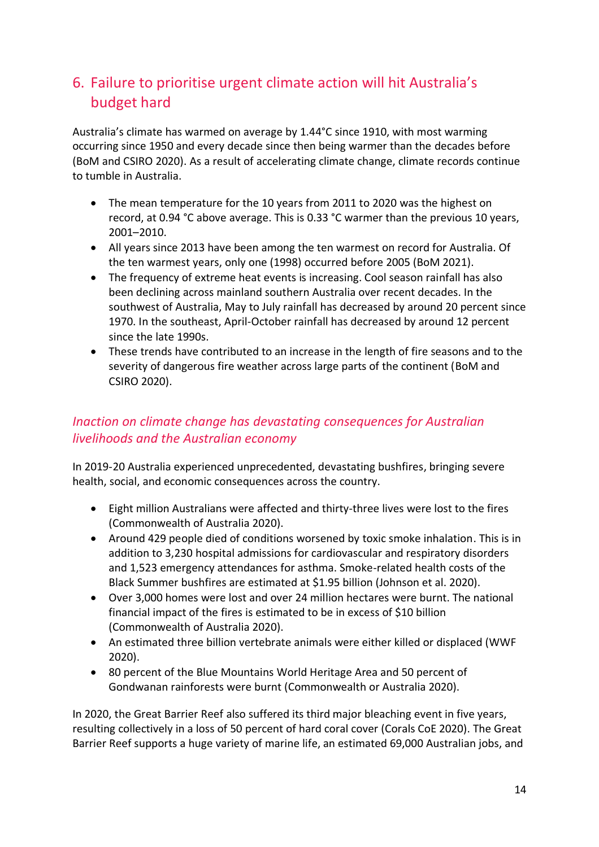# 6. Failure to prioritise urgent climate action will hit Australia's budget hard

Australia's climate has warmed on average by 1.44°C since 1910, with most warming occurring since 1950 and every decade since then being warmer than the decades before (BoM and CSIRO 2020). As a result of accelerating climate change, climate records continue to tumble in Australia.

- The mean temperature for the 10 years from 2011 to 2020 was the highest on record, at 0.94 °C above average. This is 0.33 °C warmer than the previous 10 years, 2001–2010.
- All years since 2013 have been among the ten warmest on record for Australia. Of the ten warmest years, only one (1998) occurred before 2005 (BoM 2021).
- The frequency of extreme heat events is increasing. Cool season rainfall has also been declining across mainland southern Australia over recent decades. In the southwest of Australia, May to July rainfall has decreased by around 20 percent since 1970. In the southeast, April-October rainfall has decreased by around 12 percent since the late 1990s.
- These trends have contributed to an increase in the length of fire seasons and to the severity of dangerous fire weather across large parts of the continent (BoM and CSIRO 2020).

### *Inaction on climate change has devastating consequences for Australian livelihoods and the Australian economy*

In 2019-20 Australia experienced unprecedented, devastating bushfires, bringing severe health, social, and economic consequences across the country.

- Eight million Australians were affected and thirty-three lives were lost to the fires (Commonwealth of Australia 2020).
- Around 429 people died of conditions worsened by toxic smoke inhalation. This is in addition to 3,230 hospital admissions for cardiovascular and respiratory disorders and 1,523 emergency attendances for asthma. Smoke-related health costs of the Black Summer bushfires are estimated at \$1.95 billion (Johnson et al. 2020).
- Over 3,000 homes were lost and over 24 million hectares were burnt. The national financial impact of the fires is estimated to be in excess of \$10 billion (Commonwealth of Australia 2020).
- An estimated three billion vertebrate animals were either killed or displaced (WWF 2020).
- 80 percent of the Blue Mountains World Heritage Area and 50 percent of Gondwanan rainforests were burnt (Commonwealth or Australia 2020).

In 2020, the Great Barrier Reef also suffered its third major bleaching event in five years, resulting collectively in a loss of 50 percent of hard coral cover (Corals CoE 2020). The Great Barrier Reef supports a huge variety of marine life, an estimated 69,000 Australian jobs, and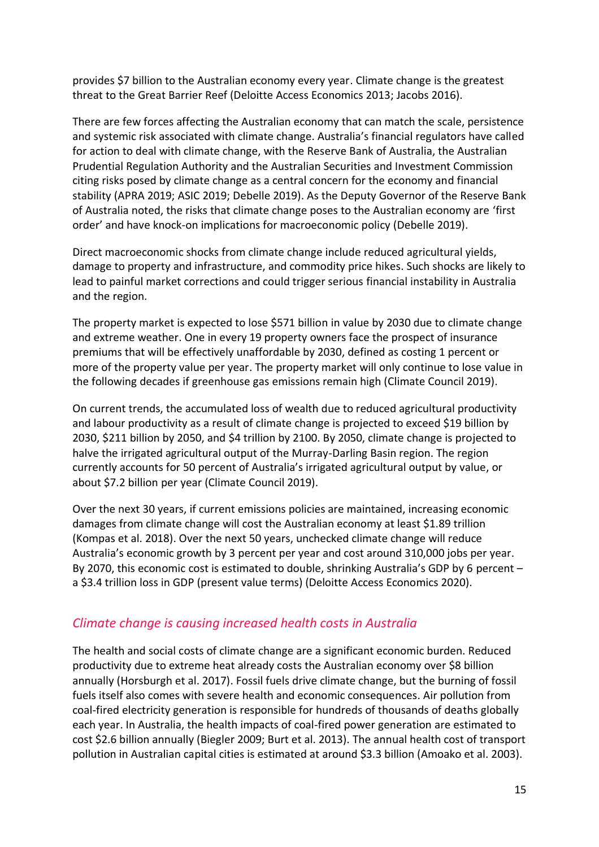provides \$7 billion to the Australian economy every year. Climate change is the greatest threat to the Great Barrier Reef (Deloitte Access Economics 2013; Jacobs 2016).

There are few forces affecting the Australian economy that can match the scale, persistence and systemic risk associated with climate change. Australia's financial regulators have called for action to deal with climate change, with the Reserve Bank of Australia, the Australian Prudential Regulation Authority and the Australian Securities and Investment Commission citing risks posed by climate change as a central concern for the economy and financial stability (APRA 2019; ASIC 2019; Debelle 2019). As the Deputy Governor of the Reserve Bank of Australia noted, the risks that climate change poses to the Australian economy are 'first order' and have knock-on implications for macroeconomic policy (Debelle 2019).

Direct macroeconomic shocks from climate change include reduced agricultural yields, damage to property and infrastructure, and commodity price hikes. Such shocks are likely to lead to painful market corrections and could trigger serious financial instability in Australia and the region.

The property market is expected to lose \$571 billion in value by 2030 due to climate change and extreme weather. One in every 19 property owners face the prospect of insurance premiums that will be effectively unaffordable by 2030, defined as costing 1 percent or more of the property value per year. The property market will only continue to lose value in the following decades if greenhouse gas emissions remain high (Climate Council 2019).

On current trends, the accumulated loss of wealth due to reduced agricultural productivity and labour productivity as a result of climate change is projected to exceed \$19 billion by 2030, \$211 billion by 2050, and \$4 trillion by 2100. By 2050, climate change is projected to halve the irrigated agricultural output of the Murray-Darling Basin region. The region currently accounts for 50 percent of Australia's irrigated agricultural output by value, or about \$7.2 billion per year (Climate Council 2019).

Over the next 30 years, if current emissions policies are maintained, increasing economic damages from climate change will cost the Australian economy at least \$1.89 trillion (Kompas et al. 2018). Over the next 50 years, unchecked climate change will reduce Australia's economic growth by 3 percent per year and cost around 310,000 jobs per year. By 2070, this economic cost is estimated to double, shrinking Australia's GDP by 6 percent – a \$3.4 trillion loss in GDP (present value terms) (Deloitte Access Economics 2020).

### *Climate change is causing increased health costs in Australia*

The health and social costs of climate change are a significant economic burden. Reduced productivity due to extreme heat already costs the Australian economy over \$8 billion annually (Horsburgh et al. 2017). Fossil fuels drive climate change, but the burning of fossil fuels itself also comes with severe health and economic consequences. Air pollution from coal-fired electricity generation is responsible for hundreds of thousands of deaths globally each year. In Australia, the health impacts of coal-fired power generation are estimated to cost \$2.6 billion annually (Biegler 2009; Burt et al. 2013). The annual health cost of transport pollution in Australian capital cities is estimated at around \$3.3 billion (Amoako et al. 2003).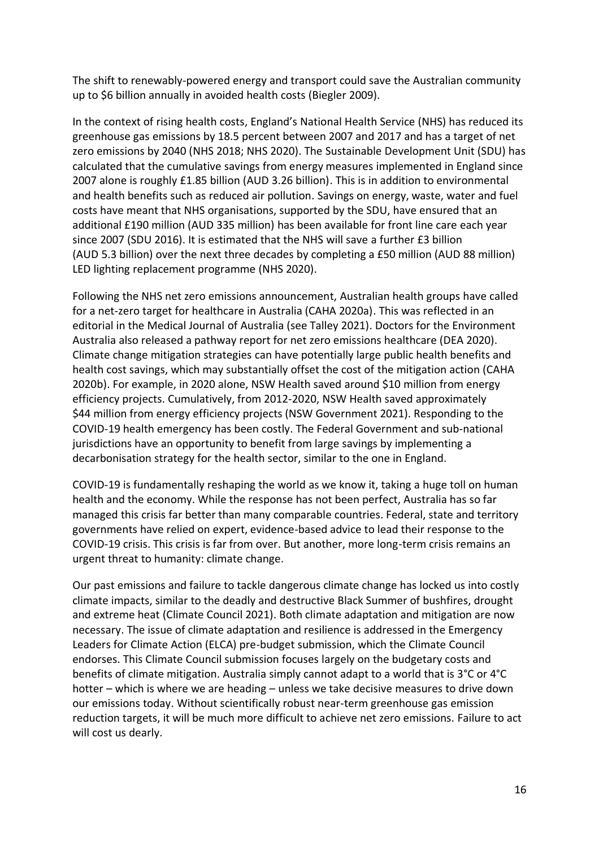The shift to renewably-powered energy and transport could save the Australian community up to \$6 billion annually in avoided health costs (Biegler 2009).

In the context of rising health costs, England's National Health Service (NHS) has reduced its greenhouse gas emissions by 18.5 percent between 2007 and 2017 and has a target of net zero emissions by 2040 (NHS 2018; NHS 2020). The Sustainable Development Unit (SDU) has calculated that the cumulative savings from energy measures implemented in England since 2007 alone is roughly £1.85 billion (AUD 3.26 billion). This is in addition to environmental and health benefits such as reduced air pollution. Savings on energy, waste, water and fuel costs have meant that NHS organisations, supported by the SDU, have ensured that an additional £190 million (AUD 335 million) has been available for front line care each year since 2007 (SDU 2016). It is estimated that the NHS will save a further £3 billion (AUD 5.3 billion) over the next three decades by completing a £50 million (AUD 88 million) LED lighting replacement programme (NHS 2020).

Following the NHS net zero emissions announcement, Australian health groups have called for a net-zero target for healthcare in Australia (CAHA 2020a). This was reflected in an editorial in the Medical Journal of Australia (see Talley 2021). Doctors for the Environment Australia also released a pathway report for net zero emissions healthcare (DEA 2020). Climate change mitigation strategies can have potentially large public health benefits and health cost savings, which may substantially offset the cost of the mitigation action (CAHA 2020b). For example, in 2020 alone, NSW Health saved around \$10 million from energy efficiency projects. Cumulatively, from 2012-2020, NSW Health saved approximately \$44 million from energy efficiency projects (NSW Government 2021). Responding to the COVID-19 health emergency has been costly. The Federal Government and sub-national jurisdictions have an opportunity to benefit from large savings by implementing a decarbonisation strategy for the health sector, similar to the one in England.

COVID-19 is fundamentally reshaping the world as we know it, taking a huge toll on human health and the economy. While the response has not been perfect, Australia has so far managed this crisis far better than many comparable countries. Federal, state and territory governments have relied on expert, evidence-based advice to lead their response to the COVID-19 crisis. This crisis is far from over. But another, more long-term crisis remains an urgent threat to humanity: climate change.

Our past emissions and failure to tackle dangerous climate change has locked us into costly climate impacts, similar to the deadly and destructive Black Summer of bushfires, drought and extreme heat (Climate Council 2021). Both climate adaptation and mitigation are now necessary. The issue of climate adaptation and resilience is addressed in the Emergency Leaders for Climate Action (ELCA) pre-budget submission, which the Climate Council endorses. This Climate Council submission focuses largely on the budgetary costs and benefits of climate mitigation. Australia simply cannot adapt to a world that is 3°C or 4°C hotter – which is where we are heading – unless we take decisive measures to drive down our emissions today. Without scientifically robust near-term greenhouse gas emission reduction targets, it will be much more difficult to achieve net zero emissions. Failure to act will cost us dearly.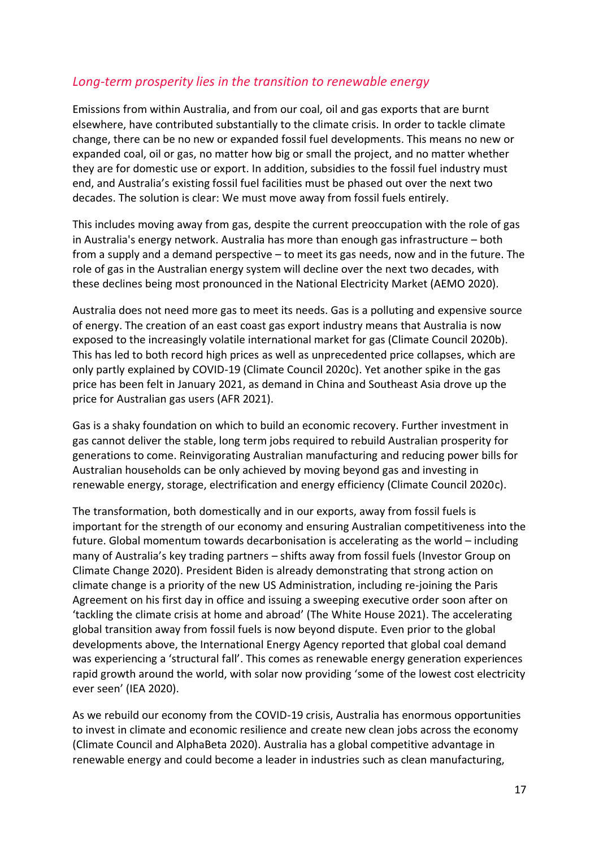### *Long-term prosperity lies in the transition to renewable energy*

Emissions from within Australia, and from our coal, oil and gas exports that are burnt elsewhere, have contributed substantially to the climate crisis. In order to tackle climate change, there can be no new or expanded fossil fuel developments. This means no new or expanded coal, oil or gas, no matter how big or small the project, and no matter whether they are for domestic use or export. In addition, subsidies to the fossil fuel industry must end, and Australia's existing fossil fuel facilities must be phased out over the next two decades. The solution is clear: We must move away from fossil fuels entirely.

This includes moving away from gas, despite the current preoccupation with the role of gas in Australia's energy network. Australia has more than enough gas infrastructure – both from a supply and a demand perspective – to meet its gas needs, now and in the future. The role of gas in the Australian energy system will decline over the next two decades, with these declines being most pronounced in the National Electricity Market (AEMO 2020).

Australia does not need more gas to meet its needs. Gas is a polluting and expensive source of energy. The creation of an east coast gas export industry means that Australia is now exposed to the increasingly volatile international market for gas (Climate Council 2020b). This has led to both record high prices as well as unprecedented price collapses, which are only partly explained by COVID-19 (Climate Council 2020c). Yet another spike in the gas price has been felt in January 2021, as demand in China and Southeast Asia drove up the price for Australian gas users (AFR 2021).

Gas is a shaky foundation on which to build an economic recovery. Further investment in gas cannot deliver the stable, long term jobs required to rebuild Australian prosperity for generations to come. Reinvigorating Australian manufacturing and reducing power bills for Australian households can be only achieved by moving beyond gas and investing in renewable energy, storage, electrification and energy efficiency (Climate Council 2020c).

The transformation, both domestically and in our exports, away from fossil fuels is important for the strength of our economy and ensuring Australian competitiveness into the future. Global momentum towards decarbonisation is accelerating as the world – including many of Australia's key trading partners – shifts away from fossil fuels (Investor Group on Climate Change 2020). President Biden is already demonstrating that strong action on climate change is a priority of the new US Administration, including re-joining the Paris Agreement on his first day in office and issuing a sweeping executive order soon after on 'tackling the climate crisis at home and abroad' (The White House 2021). The accelerating global transition away from fossil fuels is now beyond dispute. Even prior to the global developments above, the International Energy Agency reported that global coal demand was experiencing a 'structural fall'. This comes as renewable energy generation experiences rapid growth around the world, with solar now providing 'some of the lowest cost electricity ever seen' (IEA 2020).

As we rebuild our economy from the COVID-19 crisis, Australia has enormous opportunities to invest in climate and economic resilience and create new clean jobs across the economy (Climate Council and AlphaBeta 2020). Australia has a global competitive advantage in renewable energy and could become a leader in industries such as clean manufacturing,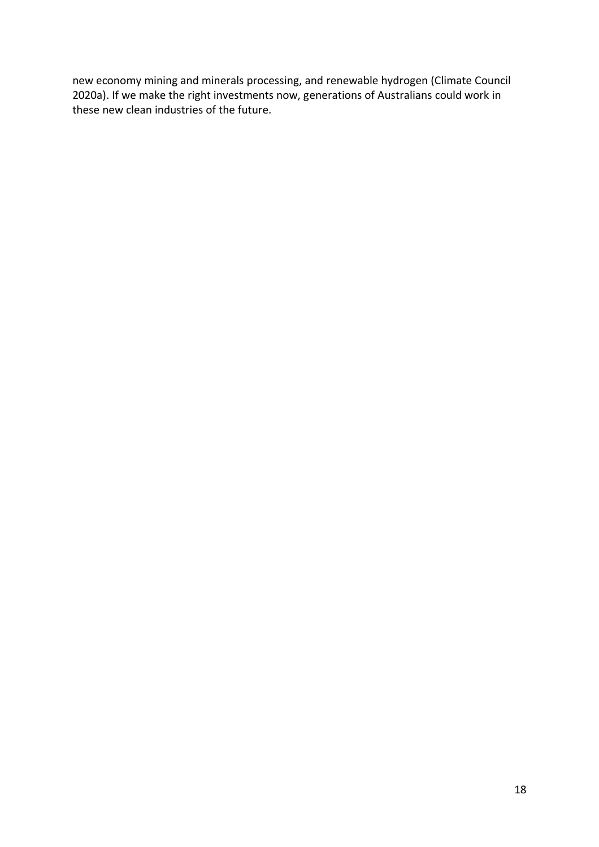new economy mining and minerals processing, and renewable hydrogen (Climate Council 2020a). If we make the right investments now, generations of Australians could work in these new clean industries of the future.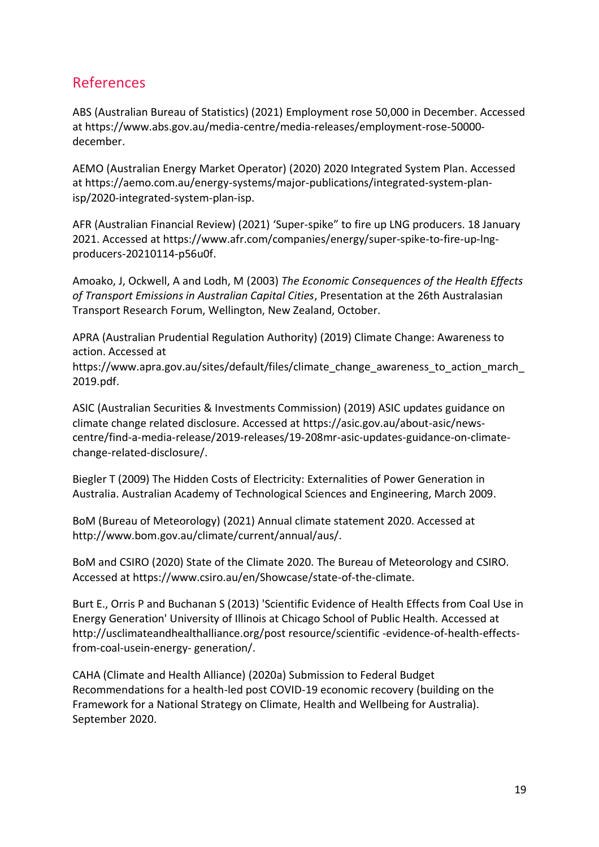### References

ABS (Australian Bureau of Statistics) (2021) Employment rose 50,000 in December. Accessed at https://www.abs.gov.au/media-centre/media-releases/employment-rose-50000 december.

AEMO (Australian Energy Market Operator) (2020) 2020 Integrated System Plan. Accessed at https://aemo.com.au/energy-systems/major-publications/integrated-system-planisp/2020-integrated-system-plan-isp.

AFR (Australian Financial Review) (2021) 'Super-spike" to fire up LNG producers. 18 January 2021. Accessed at https://www.afr.com/companies/energy/super-spike-to-fire-up-lngproducers-20210114-p56u0f.

Amoako, J, Ockwell, A and Lodh, M (2003) *The Economic Consequences of the Health Effects of Transport Emissions in Australian Capital Cities*, Presentation at the 26th Australasian Transport Research Forum, Wellington, New Zealand, October.

APRA (Australian Prudential Regulation Authority) (2019) Climate Change: Awareness to action. Accessed at

https://www.apra.gov.au/sites/default/files/climate\_change\_awareness\_to\_action\_march\_ 2019.pdf.

ASIC (Australian Securities & Investments Commission) (2019) ASIC updates guidance on climate change related disclosure. Accessed at https://asic.gov.au/about-asic/newscentre/find-a-media-release/2019-releases/19-208mr-asic-updates-guidance-on-climatechange-related-disclosure/.

Biegler T (2009) The Hidden Costs of Electricity: Externalities of Power Generation in Australia. Australian Academy of Technological Sciences and Engineering, March 2009.

BoM (Bureau of Meteorology) (2021) Annual climate statement 2020. Accessed at http://www.bom.gov.au/climate/current/annual/aus/.

BoM and CSIRO (2020) State of the Climate 2020. The Bureau of Meteorology and CSIRO. Accessed at https://www.csiro.au/en/Showcase/state-of-the-climate.

Burt E., Orris P and Buchanan S (2013) 'Scientific Evidence of Health Effects from Coal Use in Energy Generation' University of Illinois at Chicago School of Public Health. Accessed at http://usclimateandhealthalliance.org/post resource/scientific -evidence-of-health-effectsfrom-coal-usein-energy- generation/.

CAHA (Climate and Health Alliance) (2020a) Submission to Federal Budget Recommendations for a health-led post COVID-19 economic recovery (building on the Framework for a National Strategy on Climate, Health and Wellbeing for Australia). September 2020.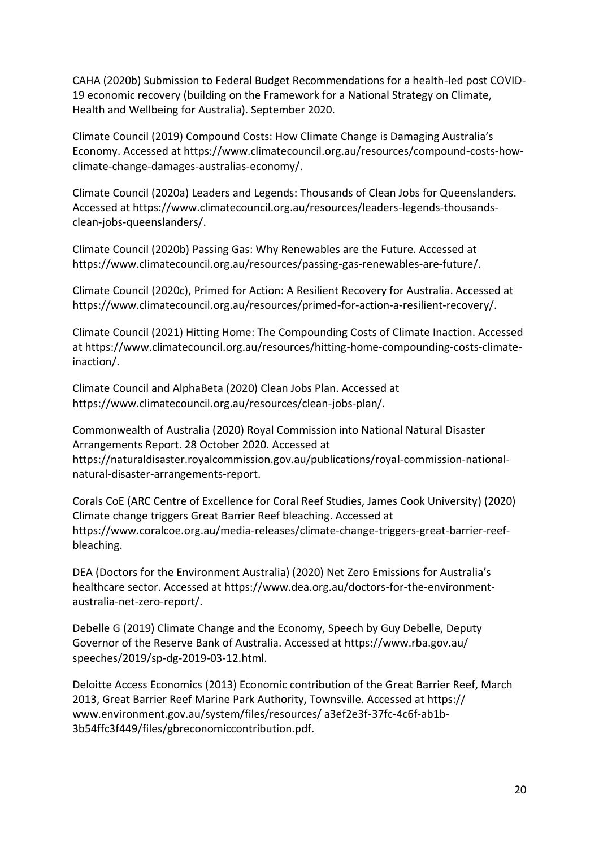CAHA (2020b) Submission to Federal Budget Recommendations for a health-led post COVID-19 economic recovery (building on the Framework for a National Strategy on Climate, Health and Wellbeing for Australia). September 2020.

Climate Council (2019) Compound Costs: How Climate Change is Damaging Australia's Economy. Accessed at https://www.climatecouncil.org.au/resources/compound-costs-howclimate-change-damages-australias-economy/.

Climate Council (2020a) Leaders and Legends: Thousands of Clean Jobs for Queenslanders. Accessed at https://www.climatecouncil.org.au/resources/leaders-legends-thousandsclean-jobs-queenslanders/.

Climate Council (2020b) Passing Gas: Why Renewables are the Future. Accessed at https://www.climatecouncil.org.au/resources/passing-gas-renewables-are-future/.

Climate Council (2020c), Primed for Action: A Resilient Recovery for Australia. Accessed at https://www.climatecouncil.org.au/resources/primed-for-action-a-resilient-recovery/.

Climate Council (2021) Hitting Home: The Compounding Costs of Climate Inaction. Accessed at https://www.climatecouncil.org.au/resources/hitting-home-compounding-costs-climateinaction/.

Climate Council and AlphaBeta (2020) Clean Jobs Plan. Accessed at https://www.climatecouncil.org.au/resources/clean-jobs-plan/.

Commonwealth of Australia (2020) Royal Commission into National Natural Disaster Arrangements Report. 28 October 2020. Accessed at https://naturaldisaster.royalcommission.gov.au/publications/royal-commission-nationalnatural-disaster-arrangements-report.

Corals CoE (ARC Centre of Excellence for Coral Reef Studies, James Cook University) (2020) Climate change triggers Great Barrier Reef bleaching. Accessed at https://www.coralcoe.org.au/media-releases/climate-change-triggers-great-barrier-reefbleaching.

DEA (Doctors for the Environment Australia) (2020) Net Zero Emissions for Australia's healthcare sector. Accessed at https://www.dea.org.au/doctors-for-the-environmentaustralia-net-zero-report/.

Debelle G (2019) Climate Change and the Economy, Speech by Guy Debelle, Deputy Governor of the Reserve Bank of Australia. Accessed at https://www.rba.gov.au/ speeches/2019/sp-dg-2019-03-12.html.

Deloitte Access Economics (2013) Economic contribution of the Great Barrier Reef, March 2013, Great Barrier Reef Marine Park Authority, Townsville. Accessed at https:// www.environment.gov.au/system/files/resources/ a3ef2e3f-37fc-4c6f-ab1b-3b54ffc3f449/files/gbreconomiccontribution.pdf.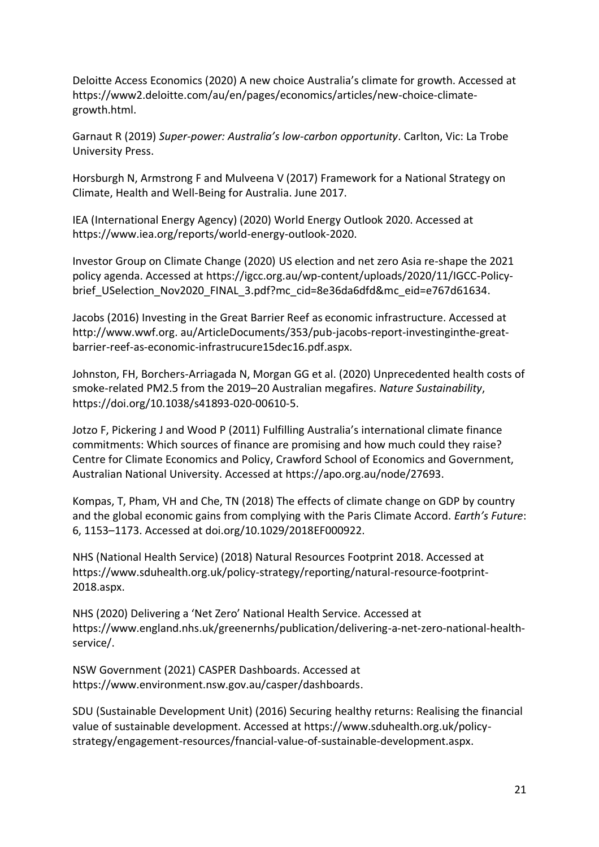Deloitte Access Economics (2020) A new choice Australia's climate for growth. Accessed at https://www2.deloitte.com/au/en/pages/economics/articles/new-choice-climategrowth.html.

Garnaut R (2019) *Super-power: Australia's low-carbon opportunity*. Carlton, Vic: La Trobe University Press.

Horsburgh N, Armstrong F and Mulveena V (2017) Framework for a National Strategy on Climate, Health and Well-Being for Australia. June 2017.

IEA (International Energy Agency) (2020) World Energy Outlook 2020. Accessed at [https://www.iea.org/reports/world-energy-outlook-2020.](https://www.iea.org/reports/world-energy-outlook-2020)

Investor Group on Climate Change (2020) US election and net zero Asia re-shape the 2021 policy agenda. Accessed at https://igcc.org.au/wp-content/uploads/2020/11/IGCC-Policybrief USelection Nov2020 FINAL 3.pdf?mc cid=8e36da6dfd&mc eid=e767d61634.

Jacobs (2016) Investing in the Great Barrier Reef as economic infrastructure. Accessed at http://www.wwf.org. au/ArticleDocuments/353/pub-jacobs-report-investinginthe-greatbarrier-reef-as-economic-infrastrucure15dec16.pdf.aspx.

Johnston, FH, Borchers-Arriagada N, Morgan GG et al. (2020) Unprecedented health costs of smoke-related PM2.5 from the 2019–20 Australian megafires. *Nature Sustainability*, https://doi.org/10.1038/s41893-020-00610-5.

Jotzo F, Pickering J and Wood P (2011) Fulfilling Australia's international climate finance commitments: Which sources of finance are promising and how much could they raise? Centre for Climate Economics and Policy, Crawford School of Economics and Government, Australian National University. Accessed at https://apo.org.au/node/27693.

Kompas, T, Pham, VH and Che, TN (2018) The effects of climate change on GDP by country and the global economic gains from complying with the Paris Climate Accord. *Earth's Future*: 6, 1153–1173. Accessed at doi.org/10.1029/2018EF000922.

NHS (National Health Service) (2018) Natural Resources Footprint 2018. Accessed at https://www.sduhealth.org.uk/policy-strategy/reporting/natural-resource-footprint-2018.aspx.

NHS (2020) Delivering a 'Net Zero' National Health Service. Accessed at https://www.england.nhs.uk/greenernhs/publication/delivering-a-net-zero-national-healthservice/.

NSW Government (2021) CASPER Dashboards. Accessed at https://www.environment.nsw.gov.au/casper/dashboards.

SDU (Sustainable Development Unit) (2016) Securing healthy returns: Realising the financial value of sustainable development. Accessed at https://www.sduhealth.org.uk/policystrategy/engagement-resources/fnancial-value-of-sustainable-development.aspx.